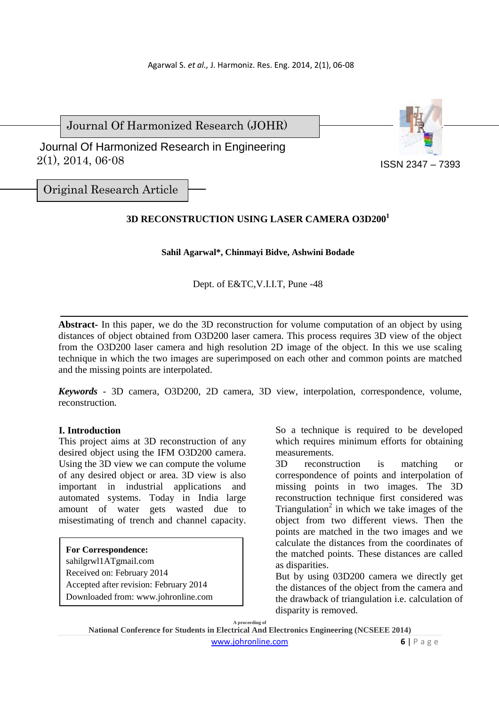Journal Of Harmonized Research (JOHR)

 2(1), 2014, 06-08 Journal Of Harmonized Research in Engineering



Original Research Article

# **3D RECONSTRUCTION USING LASER CAMERA O3D200<sup>1</sup>**

## **Sahil Agarwal\*, Chinmayi Bidve, Ashwini Bodade**

## Dept. of E&TC,V.I.I.T, Pune -48

**Abstract-** In this paper, we do the 3D reconstruction for volume computation of an object by using distances of object obtained from O3D200 laser camera. This process requires 3D view of the object from the O3D200 laser camera and high resolution 2D image of the object. In this we use scaling technique in which the two images are superimposed on each other and common points are matched and the missing points are interpolated.

*Keywords* - 3D camera, O3D200, 2D camera, 3D view, interpolation, correspondence, volume, reconstruction**.**

## **I. Introduction**

This project aims at 3D reconstruction of any desired object using the IFM O3D200 camera. Using the 3D view we can compute the volume of any desired object or area. 3D view is also important in industrial applications and automated systems. Today in India large amount of water gets wasted due to misestimating of trench and channel capacity.

### **For Correspondence:**

sahilgrwl1ATgmail.com Received on: February 2014 Accepted after revision: February 2014 Downloaded from: www.johronline.com

So a technique is required to be developed which requires minimum efforts for obtaining measurements.

3D reconstruction is matching or correspondence of points and interpolation of missing points in two images. The 3D reconstruction technique first considered was Triangulation<sup>2</sup> in which we take images of the object from two different views. Then the points are matched in the two images and we calculate the distances from the coordinates of the matched points. These distances are called as disparities.

But by using 03D200 camera we directly get the distances of the object from the camera and the drawback of triangulation i.e. calculation of disparity is removed.

**A proceeding of** 

**National Conference for Students in Electrical And Electronics Engineering (NCSEEE 2014)** 

www.johronline.com **6** | P a g e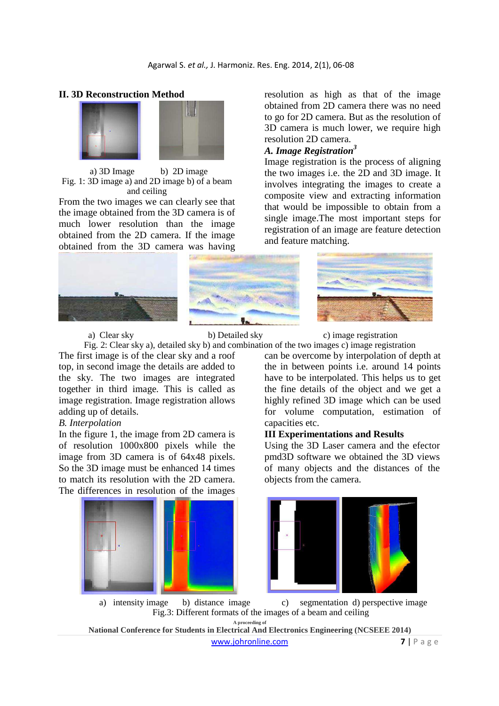

## **II. 3D Reconstruction Method**

a) 3D Image b) 2D image Fig. 1: 3D image a) and 2D image b) of a beam and ceiling

From the two images we can clearly see that the image obtained from the 3D camera is of much lower resolution than the image obtained from the 2D camera. If the image obtained from the 3D camera was having





resolution as high as that of the image obtained from 2D camera there was no need to go for 2D camera. But as the resolution of 3D camera is much lower, we require high resolution 2D camera.

# *A. Image Registration<sup>3</sup>*

Image registration is the process of aligning the two images i.e. the 2D and 3D image. It involves integrating the images to create a composite view and extracting information that would be impossible to obtain from a single image.The most important steps for registration of an image are feature detection and feature matching.



Fig. 2: Clear sky a), detailed sky b) and combination of the two images c) image registration The first image is of the clear sky and a roof top, in second image the details are added to the sky. The two images are integrated together in third image. This is called as image registration. Image registration allows adding up of details.

### *B. Interpolation*

In the figure 1, the image from 2D camera is of resolution 1000x800 pixels while the image from 3D camera is of 64x48 pixels. So the 3D image must be enhanced 14 times to match its resolution with the 2D camera. The differences in resolution of the images



a) Clear sky b) Detailed sky c) image registration

can be overcome by interpolation of depth at the in between points i.e. around 14 points have to be interpolated. This helps us to get the fine details of the object and we get a highly refined 3D image which can be used for volume computation, estimation of capacities etc.

#### **III Experimentations and Results**

Using the 3D Laser camera and the efector pmd3D software we obtained the 3D views of many objects and the distances of the objects from the camera.



**A proceeding of**  a) intensity image b) distance image c) segmentation d) perspective image Fig.3: Different formats of the images of a beam and ceiling

**National Conference for Students in Electrical And Electronics Engineering (NCSEEE 2014)**  www.johronline.com **7** | P a g e